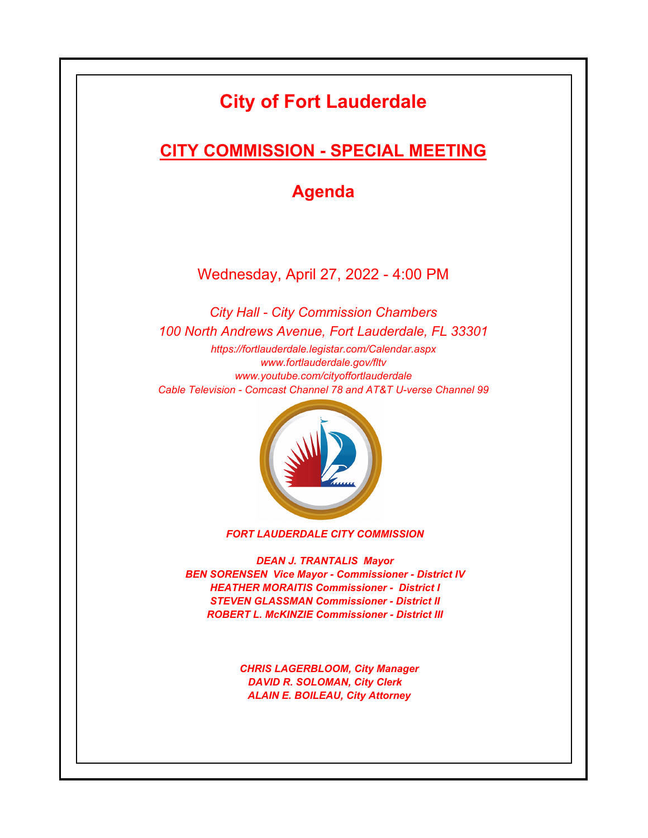# **City of Fort Lauderdale**

# **CITY COMMISSION - SPECIAL MEETING**

**Agenda**

Wednesday, April 27, 2022 - 4:00 PM

*https://fortlauderdale.legistar.com/Calendar.aspx www.fortlauderdale.gov/fltv www.youtube.com/cityoffortlauderdale Cable Television - Comcast Channel 78 and AT&T U-verse Channel 99 City Hall - City Commission Chambers 100 North Andrews Avenue, Fort Lauderdale, FL 33301*



*FORT LAUDERDALE CITY COMMISSION*

*DEAN J. TRANTALIS Mayor BEN SORENSEN Vice Mayor - Commissioner - District IV HEATHER MORAITIS Commissioner - District I STEVEN GLASSMAN Commissioner - District II ROBERT L. McKINZIE Commissioner - District III*

> *CHRIS LAGERBLOOM, City Manager DAVID R. SOLOMAN, City Clerk ALAIN E. BOILEAU, City Attorney*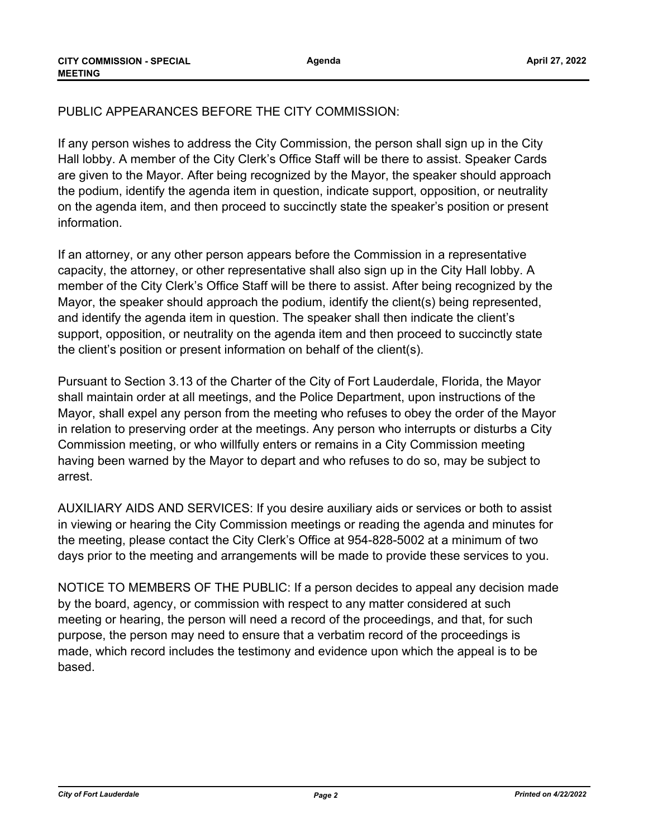**Agenda**

## PUBLIC APPEARANCES BEFORE THE CITY COMMISSION:

If any person wishes to address the City Commission, the person shall sign up in the City Hall lobby. A member of the City Clerk's Office Staff will be there to assist. Speaker Cards are given to the Mayor. After being recognized by the Mayor, the speaker should approach the podium, identify the agenda item in question, indicate support, opposition, or neutrality on the agenda item, and then proceed to succinctly state the speaker's position or present information.

If an attorney, or any other person appears before the Commission in a representative capacity, the attorney, or other representative shall also sign up in the City Hall lobby. A member of the City Clerk's Office Staff will be there to assist. After being recognized by the Mayor, the speaker should approach the podium, identify the client(s) being represented, and identify the agenda item in question. The speaker shall then indicate the client's support, opposition, or neutrality on the agenda item and then proceed to succinctly state the client's position or present information on behalf of the client(s).

Pursuant to Section 3.13 of the Charter of the City of Fort Lauderdale, Florida, the Mayor shall maintain order at all meetings, and the Police Department, upon instructions of the Mayor, shall expel any person from the meeting who refuses to obey the order of the Mayor in relation to preserving order at the meetings. Any person who interrupts or disturbs a City Commission meeting, or who willfully enters or remains in a City Commission meeting having been warned by the Mayor to depart and who refuses to do so, may be subject to arrest.

AUXILIARY AIDS AND SERVICES: If you desire auxiliary aids or services or both to assist in viewing or hearing the City Commission meetings or reading the agenda and minutes for the meeting, please contact the City Clerk's Office at 954-828-5002 at a minimum of two days prior to the meeting and arrangements will be made to provide these services to you.

NOTICE TO MEMBERS OF THE PUBLIC: If a person decides to appeal any decision made by the board, agency, or commission with respect to any matter considered at such meeting or hearing, the person will need a record of the proceedings, and that, for such purpose, the person may need to ensure that a verbatim record of the proceedings is made, which record includes the testimony and evidence upon which the appeal is to be based.